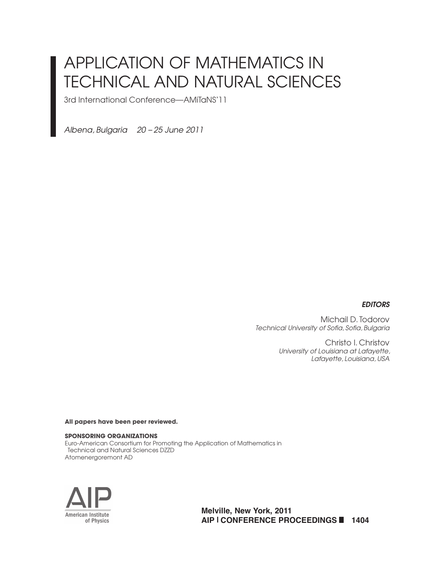# APPLICATION OF MATHEMATICS IN TECHNICAL AND NATURAL SCIENCES

3rd International Conference—AMiTaNS'11

*Albena, Bulgaria 20 – 25 June 2011*

#### *EDITORS*

Michail D. Todorov **Technical University of Sofia, Sofia, Bulgaria** 

> Christo I. Christov *University of Louisiana at Lafayette, Lafayette, Louisiana, USA*

**All papers have been peer reviewed.**

#### **SPONSORING ORGANIZATIONS**

Euro-American Consortium for Promoting the Application of Mathematics in Technical and Natural Sciences DZZD Atomenergoremont AD



**Melville, New York, 2011 AIP | CONFERENCE PROCEEDINGS 1404**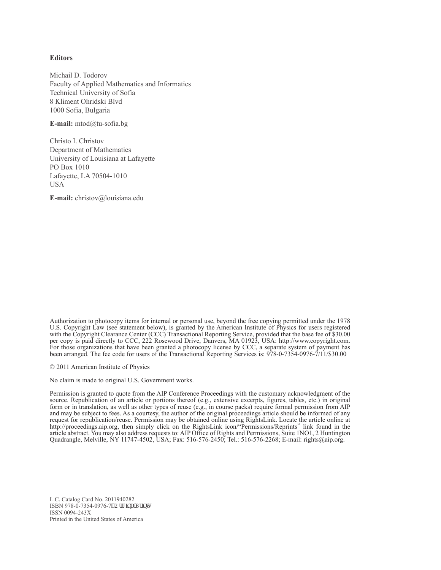#### **Editors**

Michail D. Todorov Faculty of Applied Mathematics and Informatics Technical University of Sofia 8 Kliment Ohridski Blvd 1000 Sofia, Bulgaria

**E-mail:** mtod@tu-sofia.bg

Christo I. Christov Department of Mathematics University of Louisiana at Lafayette PO Box 1010 Lafayette, LA 70504-1010 USA

**E-mail:** christov@louisiana.edu

Authorization to photocopy items for internal or personal use, beyond the free copying permitted under the 1978 U.S. Copyright Law (see statement below), is granted by the American Institute of Physics for users registered with the Copyright Clearance Center (CCC) Transactional Reporting Service, provided that the base fee of \$30.00 per copy is paid directly to CCC, 222 Rosewood Drive, Danvers, MA 01923, USA: http://www.copyright.com. For those organizations that have been granted a photocopy license by CCC, a separate system of payment has been arranged. The fee code for users of the Transactional Reporting Services is: 978-0-7354-0976-7/11/\$30.00

© 2011 American Institute of Physics

No claim is made to original U.S. Government works.

Permission is granted to quote from the AIP Conference Proceedings with the customary acknowledgment of the source. Republication of an article or portions thereof (e.g., extensive excerpts, figures, tables, etc.) in original form or in translation, as well as other types of reuse (e.g., in course packs) require formal permission from AIP and may be subject to fees. As a courtesy, the author of the original proceedings article should be informed of any request for republication/reuse. Permission may be obtained online using RightsLink. Locate the article online at http://proceedings.aip.org, then simply click on the RightsLink icon/"Permissions/Reprints" link found in the article abstract. You may also address requests to: AIP Office of Rights and Permissions, Suite 1NO1, 2 Huntington Quadrangle, Melville, NY 11747-4502, USA; Fax: 516-576-2450; Tel.: 516-576-2268; E-mail: rights@aip.org.

L.C. Catalog Card No. 2011940282 ISBN 978-0-7354-0976-7<sup>18</sup>Qtki kpcn'Rtkpv+ ISSN 0094-243X Printed in the United States of America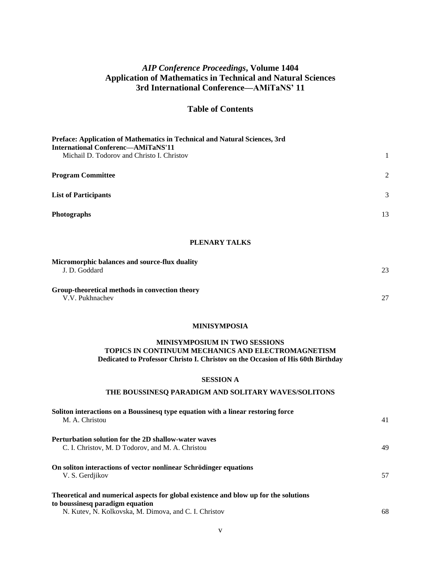## *AIP Conference Proceedings***, Volume 1404 Application of Mathematics in Technical and Natural Sciences 3rd International Conference—AMiTaNS' 11**

## **Table of Contents**

| Preface: Application of Mathematics in Technical and Natural Sciences, 3rd<br><b>International Conferenc-AMiTaNS'11</b> |                |
|-------------------------------------------------------------------------------------------------------------------------|----------------|
| Michail D. Todorov and Christo I. Christov                                                                              |                |
| <b>Program Committee</b>                                                                                                | $\mathfrak{D}$ |
| <b>List of Participants</b>                                                                                             | 3              |
| Photographs                                                                                                             | 13             |

## **PLENARY TALKS**

| Micromorphic balances and source-flux duality<br>J. D. Goddard    | 23 |
|-------------------------------------------------------------------|----|
| Group-theoretical methods in convection theory<br>V.V. Pukhnachev | 27 |

#### **MINISYMPOSIA**

#### **MINISYMPOSIUM IN TWO SESSIONS TOPICS IN CONTINUUM MECHANICS AND ELECTROMAGNETISM Dedicated to Professor Christo I. Christov on the Occasion of His 60th Birthday**

#### **SESSION A**

#### **THE BOUSSINESQ PARADIGM AND SOLITARY WAVES/SOLITONS**

| Soliton interactions on a Boussinesq type equation with a linear restoring force<br>M. A. Christou                                                                               | 41 |
|----------------------------------------------------------------------------------------------------------------------------------------------------------------------------------|----|
| <b>Perturbation solution for the 2D shallow-water waves</b><br>C. I. Christov, M. D Todorov, and M. A. Christou                                                                  | 49 |
| On soliton interactions of vector nonlinear Schrödinger equations<br>V. S. Gerdjikov                                                                                             | 57 |
| Theoretical and numerical aspects for global existence and blow up for the solutions<br>to boussinesq paradigm equation<br>N. Kutev, N. Kolkovska, M. Dimova, and C. I. Christov | 68 |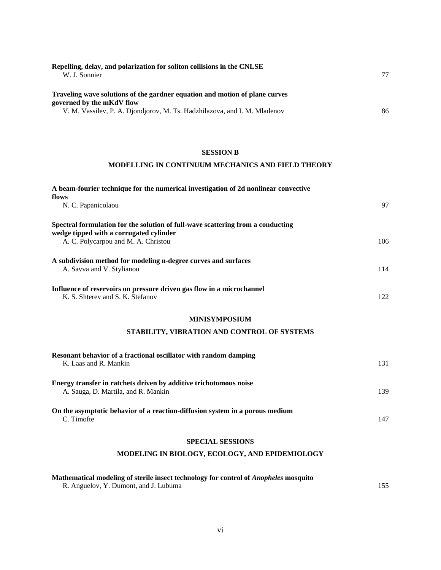| Repelling, delay, and polarization for soliton collisions in the CNLSE      |    |
|-----------------------------------------------------------------------------|----|
| W. J. Sonnier                                                               | 77 |
| Traveling wave solutions of the gardner equation and motion of plane curves |    |
| governed by the mKdV flow                                                   |    |
| V. M. Vassilev, P. A. Djondjorov, M. Ts. Hadzhilazova, and I. M. Mladenov   | 86 |

#### **SESSION B**

#### **MODELLING IN CONTINUUM MECHANICS AND FIELD THEORY**

| A beam-fourier technique for the numerical investigation of 2d nonlinear convective<br>flows                               |     |
|----------------------------------------------------------------------------------------------------------------------------|-----|
| N. C. Papanicolaou                                                                                                         | 97  |
| Spectral formulation for the solution of full-wave scattering from a conducting<br>wedge tipped with a corrugated cylinder |     |
| A. C. Polycarpou and M. A. Christou                                                                                        | 106 |
| A subdivision method for modeling n-degree curves and surfaces<br>A. Savva and V. Stylianou                                | 114 |
| Influence of reservoirs on pressure driven gas flow in a microchannel<br>K. S. Shterev and S. K. Stefanov                  | 122 |
| <b>MINISYMPOSIUM</b>                                                                                                       |     |
| STABILITY, VIBRATION AND CONTROL OF SYSTEMS                                                                                |     |
| Resonant behavior of a fractional oscillator with random damping<br>K. Laas and R. Mankin                                  | 131 |
| Energy transfer in ratchets driven by additive trichotomous noise<br>A. Sauga, D. Martila, and R. Mankin                   | 139 |
| On the asymptotic behavior of a reaction-diffusion system in a porous medium<br>C. Timofte                                 | 147 |
| <b>SPECIAL SESSIONS</b>                                                                                                    |     |
| MODELING IN BIOLOGY, ECOLOGY, AND EPIDEMIOLOGY                                                                             |     |

#### **Mathematical modeling of sterile insect technology for control of** *Anopheles* **mosquito** R. Anguelov, Y. Dumont, and J. Lubuma 155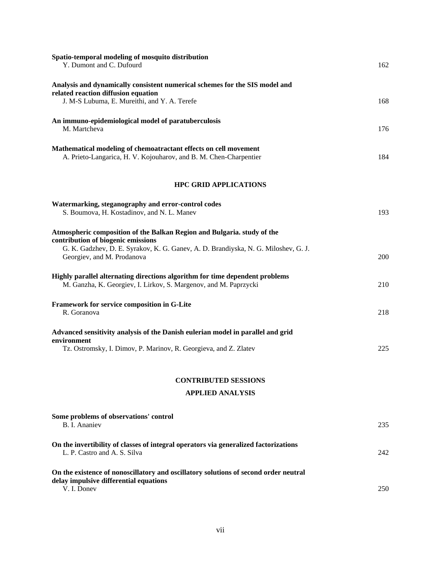| Spatio-temporal modeling of mosquito distribution<br>Y. Dumont and C. Dufourd                                                                                      | 162 |
|--------------------------------------------------------------------------------------------------------------------------------------------------------------------|-----|
| Analysis and dynamically consistent numerical schemes for the SIS model and<br>related reaction diffusion equation<br>J. M-S Lubuma, E. Mureithi, and Y. A. Terefe | 168 |
| An immuno-epidemiological model of paratuberculosis<br>M. Martcheva                                                                                                | 176 |
| Mathematical modeling of chemoatractant effects on cell movement<br>A. Prieto-Langarica, H. V. Kojouharov, and B. M. Chen-Charpentier                              | 184 |
| <b>HPC GRID APPLICATIONS</b>                                                                                                                                       |     |
| Watermarking, steganography and error-control codes<br>S. Boumova, H. Kostadinov, and N. L. Manev                                                                  | 193 |
| Atmospheric composition of the Balkan Region and Bulgaria. study of the<br>contribution of biogenic emissions                                                      |     |
| G. K. Gadzhev, D. E. Syrakov, K. G. Ganev, A. D. Brandiyska, N. G. Miloshev, G. J.<br>Georgiev, and M. Prodanova                                                   | 200 |
| Highly parallel alternating directions algorithm for time dependent problems<br>M. Ganzha, K. Georgiev, I. Lirkov, S. Margenov, and M. Paprzycki                   | 210 |
| Framework for service composition in G-Lite<br>R. Goranova                                                                                                         | 218 |
| Advanced sensitivity analysis of the Danish eulerian model in parallel and grid<br>environment                                                                     |     |
| Tz. Ostromsky, I. Dimov, P. Marinov, R. Georgieva, and Z. Zlatev                                                                                                   | 225 |
| <b>CONTRIBUTED SESSIONS</b>                                                                                                                                        |     |
| <b>APPLIED ANALYSIS</b>                                                                                                                                            |     |
| Some problems of observations' control<br>B. I. Ananiev                                                                                                            | 235 |
| On the invertibility of classes of integral operators via generalized factorizations<br>L. P. Castro and A. S. Silva                                               | 242 |
| On the existence of nonoscillatory and oscillatory solutions of second order neutral<br>delay impulsive differential equations                                     |     |
| V. I. Donev                                                                                                                                                        | 250 |

vii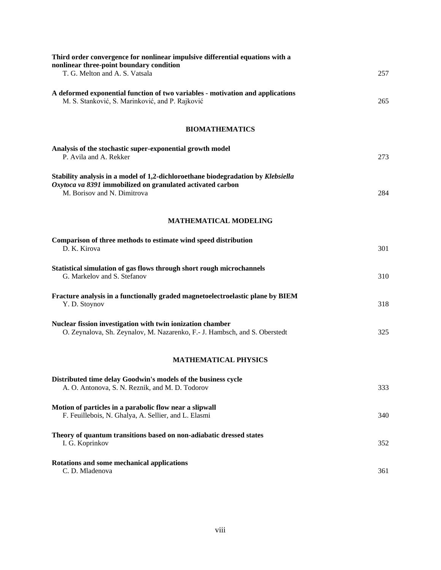| Third order convergence for nonlinear impulsive differential equations with a<br>nonlinear three-point boundary condition                                                     |     |
|-------------------------------------------------------------------------------------------------------------------------------------------------------------------------------|-----|
| T. G. Melton and A. S. Vatsala                                                                                                                                                | 257 |
| A deformed exponential function of two variables - motivation and applications<br>M. S. Stanković, S. Marinković, and P. Rajković                                             | 265 |
| <b>BIOMATHEMATICS</b>                                                                                                                                                         |     |
| Analysis of the stochastic super-exponential growth model<br>P. Avila and A. Rekker                                                                                           | 273 |
| Stability analysis in a model of 1,2-dichloroethane biodegradation by Klebsiella<br>Oxytoca va 8391 immobilized on granulated activated carbon<br>M. Borisov and N. Dimitrova | 284 |
| <b>MATHEMATICAL MODELING</b>                                                                                                                                                  |     |
| Comparison of three methods to estimate wind speed distribution<br>D. K. Kirova                                                                                               | 301 |
| Statistical simulation of gas flows through short rough microchannels<br>G. Markelov and S. Stefanov                                                                          | 310 |
| Fracture analysis in a functionally graded magnetoelectroelastic plane by BIEM<br>Y. D. Stoynov                                                                               | 318 |
| Nuclear fission investigation with twin ionization chamber<br>O. Zeynalova, Sh. Zeynalov, M. Nazarenko, F.- J. Hambsch, and S. Oberstedt                                      | 325 |
| <b>MATHEMATICAL PHYSICS</b>                                                                                                                                                   |     |
| Distributed time delay Goodwin's models of the business cycle<br>A. O. Antonova, S. N. Reznik, and M. D. Todorov                                                              | 333 |
| Motion of particles in a parabolic flow near a slipwall<br>F. Feuillebois, N. Ghalya, A. Sellier, and L. Elasmi                                                               | 340 |
| Theory of quantum transitions based on non-adiabatic dressed states<br>I. G. Koprinkov                                                                                        | 352 |
| Rotations and some mechanical applications<br>C. D. Mladenova                                                                                                                 | 361 |